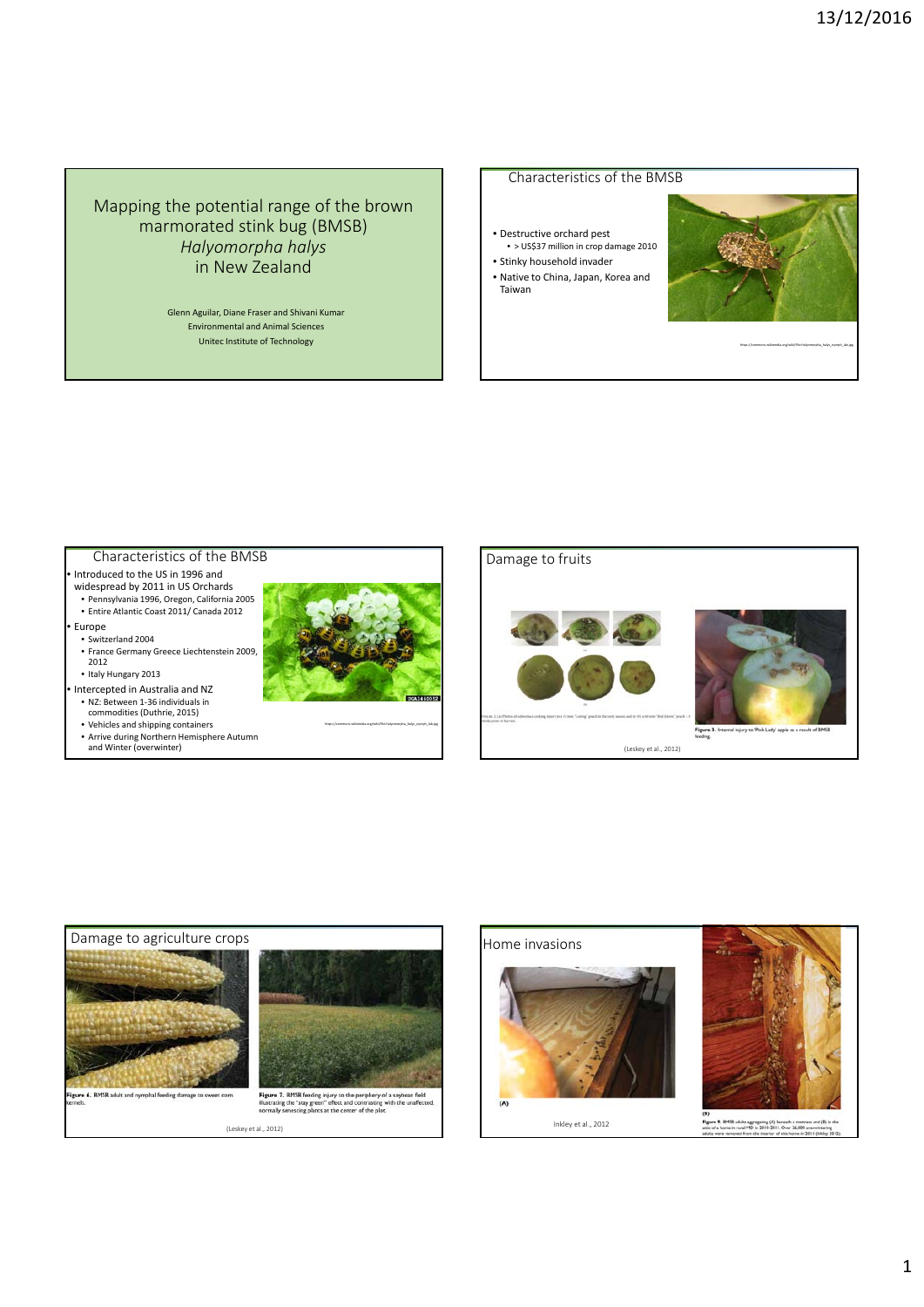# Mapping the potential range of the brown marmorated stink bug (BMSB) *Halyomorpha halys* in New Zealand

Glenn Aguilar, Diane Fraser and Shivani Kumar Environmental and Animal Sciences Unitec Institute of Technology

## Characteristics of the BMSB

- Destructive orchard pest • > US\$37 million in crop damage 2010 • Stinky household invader
- Native to China, Japan, Korea and Taiwan



https://commons.wikimedia.org/wiki/File:Halyomorpha\_halys\_nymph\_lab.jpg

# Characteristics of the BMSB

- Introduced to the US in 1996 and
- widespread by 2011 in US Orchards • Pennsylvania 1996, Oregon, California 2005 • Entire Atlantic Coast 2011/ Canada 2012
- Europe
- Switzerland 2004
- France Germany Greece Liechtenstein 2009, 2012
- Italy Hungary 2013
- Intercepted in Australia and NZ • NZ: Between 1‐36 individuals in
- commodities (Duthrie, 2015)
- Vehicles and shipping containers Arrive during Northern Hemisphere Autumn and Winter (overwinter)



https://commons.wikimedia.org/wiki/File:Halyomorpha\_halys\_nymph\_lab.jpg

# Damage to fruits



(Leskey et al., 2012)



Figure 3. Internal injury to 'Pink Lady' apple as<br>feeding.



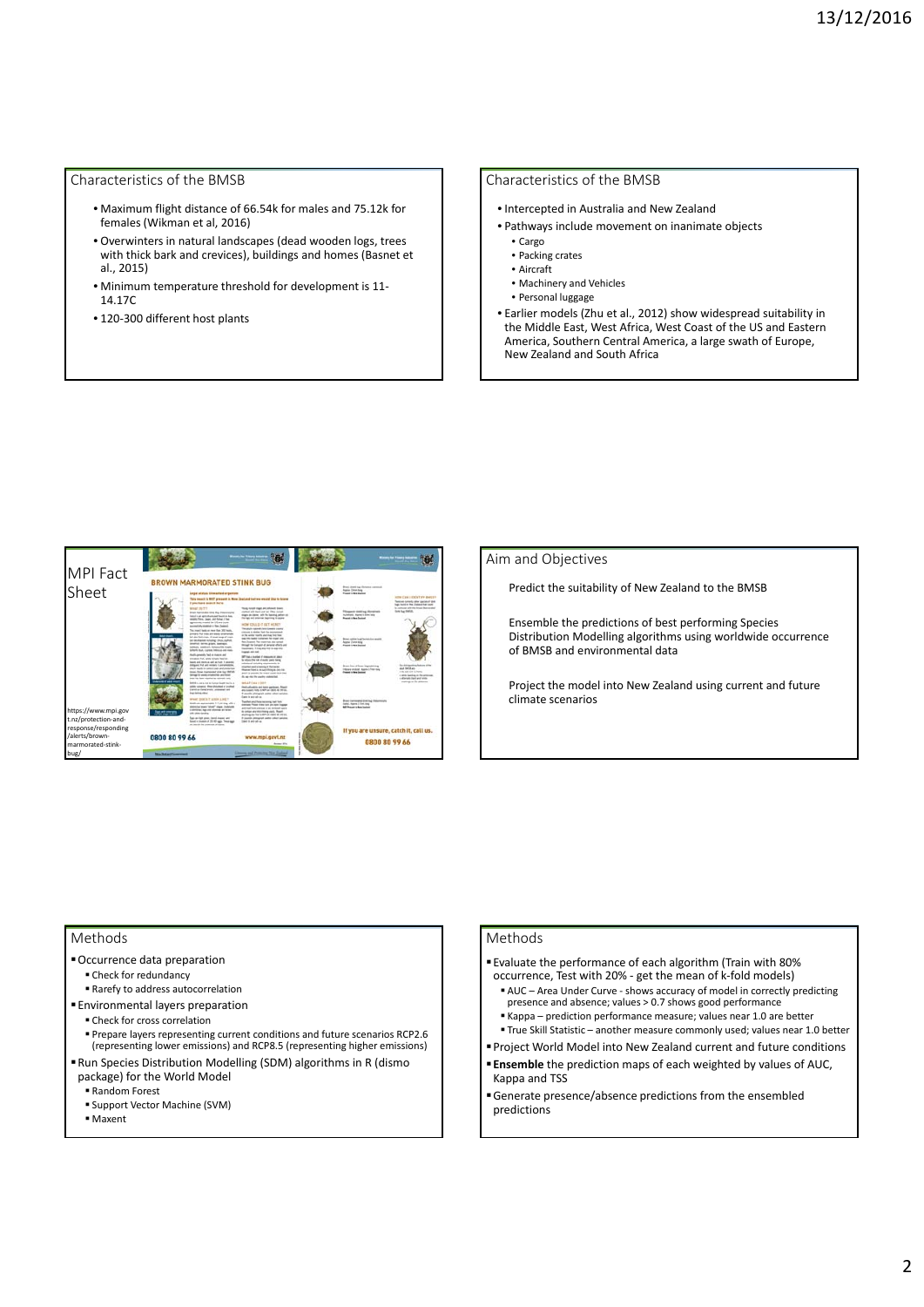## Characteristics of the BMSB

- Maximum flight distance of 66.54k for males and 75.12k for females (Wikman et al, 2016)
- Overwinters in natural landscapes (dead wooden logs, trees with thick bark and crevices), buildings and homes (Basnet et al., 2015)
- Minimum temperature threshold for development is 11‐ 14.17C
- 120‐300 different host plants

### Characteristics of the BMSB

- Intercepted in Australia and New Zealand
- Pathways include movement on inanimate objects
	- Cargo
	- Packing crates • Aircraft
	- Machinery and Vehicles
	- Personal luggage
- Earlier models (Zhu et al., 2012) show widespread suitability in the Middle East, West Africa, West Coast of the US and Eastern America, Southern Central America, a large swath of Europe, New Zealand and South Africa



#### Aim and Objectives

Predict the suitability of New Zealand to the BMSB

Ensemble the predictions of best performing Species Distribution Modelling algorithms using worldwide occurrence of BMSB and environmental data

Project the model into New Zealand using current and future climate scenarios

### Methods

- Occurrence data preparation
	- Check for redundancy
	- Rarefy to address autocorrelation
- Environmental layers preparation Check for cross correlation
- 
- Prepare layers representing current conditions and future scenarios RCP2.6 (representing lower emissions) and RCP8.5 (representing higher emissions)
- Run Species Distribution Modelling (SDM) algorithms in R (dismo package) for the World Model
	- Random Forest
	- Support Vector Machine (SVM)
	- Maxent

#### Methods

- Evaluate the performance of each algorithm (Train with 80% occurrence, Test with 20% ‐ get the mean of k‐fold models)
- AUC Area Under Curve shows accuracy of model in correctly predicting presence and absence; values > 0.7 shows good performance
- Kappa prediction performance measure; values near 1.0 are better
- True Skill Statistic another measure commonly used; values near 1.0 better
	- Project World Model into New Zealand current and future conditions **Ensemble** the prediction maps of each weighted by values of AUC,
	- Kappa and TSS
	- Generate presence/absence predictions from the ensembled predictions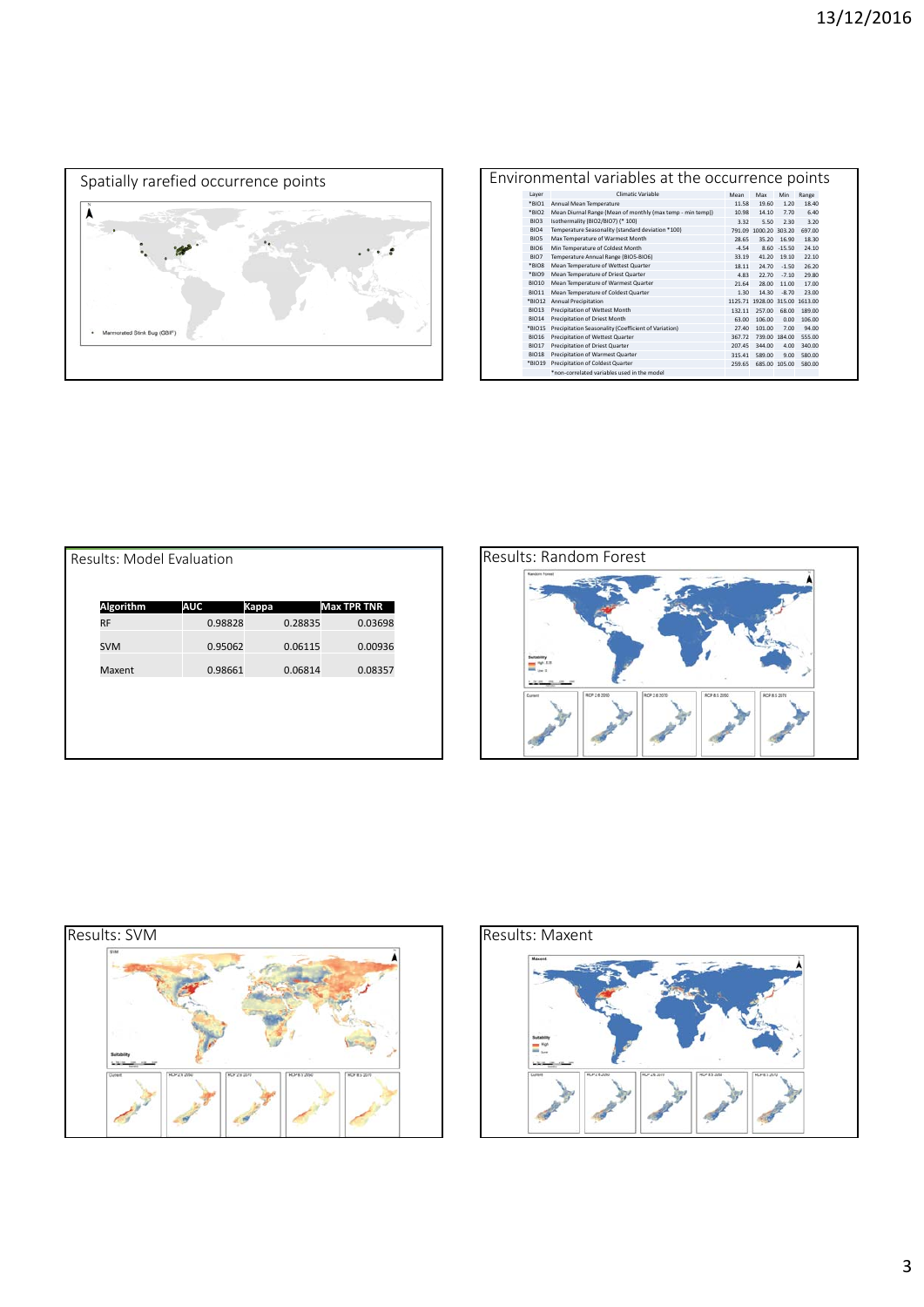

| Environmental variables at the occurrence points |                   |                                                            |         |                                |               |        |  |  |
|--------------------------------------------------|-------------------|------------------------------------------------------------|---------|--------------------------------|---------------|--------|--|--|
|                                                  | Layer             | Climatic Variable                                          | Mean    | Max                            | Min           | Range  |  |  |
|                                                  | *BIO1             | Annual Mean Temperature                                    | 11.58   | 19.60                          | 1.20          | 18.40  |  |  |
|                                                  | *BIO2             | Mean Diurnal Range (Mean of monthly (max temp - min temp)) | 10.98   | 14.10                          | 7.70          | 6.40   |  |  |
|                                                  | <b>BIO3</b>       | Isothermality (BIO2/BIO7) (* 100)                          | 3.32    | 5.50                           | 2.30          | 3.20   |  |  |
|                                                  | BIO <sub>4</sub>  | Temperature Seasonality (standard deviation *100)          |         | 791.09 1000.20 303.20          |               | 697.00 |  |  |
|                                                  | BIO <sub>5</sub>  | Max Temperature of Warmest Month                           | 28.65   | 35.20                          | 16.90         | 18.30  |  |  |
|                                                  | BIO <sub>6</sub>  | Min Temperature of Coldest Month                           | $-4.54$ | 8.60                           | $-15.50$      | 24.10  |  |  |
|                                                  | BIO7              | Temperature Annual Range (BIO5-BIO6)                       | 33.19   | 41.20                          | 19.10         | 22.10  |  |  |
|                                                  | *BIOR             | Mean Temperature of Wettest Quarter                        | 18.11   | 24.70                          | $-1.50$       | 26.20  |  |  |
|                                                  | *BIO9             | Mean Temperature of Driest Quarter                         | 4.83    | 22.70                          | $-7.10$       | 29.80  |  |  |
|                                                  | <b>BIO10</b>      | Mean Temperature of Warmest Quarter                        | 21.64   | 28.00                          | 11.00         | 17.00  |  |  |
|                                                  | <b>BIO11</b>      | Mean Temperature of Coldest Quarter                        | 1.30    | 14.30                          | $-8.70$       | 23.00  |  |  |
|                                                  | *BIO12            | Annual Precipitation                                       |         | 1125.71 1928.00 315.00 1613.00 |               |        |  |  |
|                                                  | BIO <sub>13</sub> | Precipitation of Wettest Month                             | 132.11  | 257.00                         | 68.00         | 189.00 |  |  |
|                                                  | <b>BIO14</b>      | Precipitation of Driest Month                              | 63.00   | 106.00                         | 0.00          | 106.00 |  |  |
|                                                  | *BIO15            | Precipitation Seasonality (Coefficient of Variation)       | 27.40   | 101.00                         | 7.00          | 94.00  |  |  |
|                                                  | <b>BIO16</b>      | Precipitation of Wettest Quarter                           | 367.72  |                                | 739.00 184.00 | 555.00 |  |  |
|                                                  | <b>BIO17</b>      | Precipitation of Driest Quarter                            | 207.45  | 344.00                         | 4.00          | 340.00 |  |  |
|                                                  | <b>BIO18</b>      | Precipitation of Warmest Quarter                           | 315.41  | 589.00                         | 9.00          | 580.00 |  |  |
|                                                  | *BIO19            | Precipitation of Coldest Quarter                           | 259.65  |                                | 685.00 105.00 | 580.00 |  |  |
|                                                  |                   | *non-correlated variables used in the model                |         |                                |               |        |  |  |

| Results: Model Evaluation |                            |         |                    |  |  |  |  |  |  |
|---------------------------|----------------------------|---------|--------------------|--|--|--|--|--|--|
| Algorithm                 | <b>AUC</b><br><b>Kappa</b> |         | <b>Max TPR TNR</b> |  |  |  |  |  |  |
| <b>RF</b>                 | 0.98828                    | 0.28835 | 0.03698            |  |  |  |  |  |  |
| <b>SVM</b>                | 0.95062                    | 0.06115 | 0.00936            |  |  |  |  |  |  |
| Maxent                    | 0.98661                    | 0.06814 | 0.08357            |  |  |  |  |  |  |
|                           |                            |         |                    |  |  |  |  |  |  |
|                           |                            |         |                    |  |  |  |  |  |  |
|                           |                            |         |                    |  |  |  |  |  |  |
|                           |                            |         |                    |  |  |  |  |  |  |





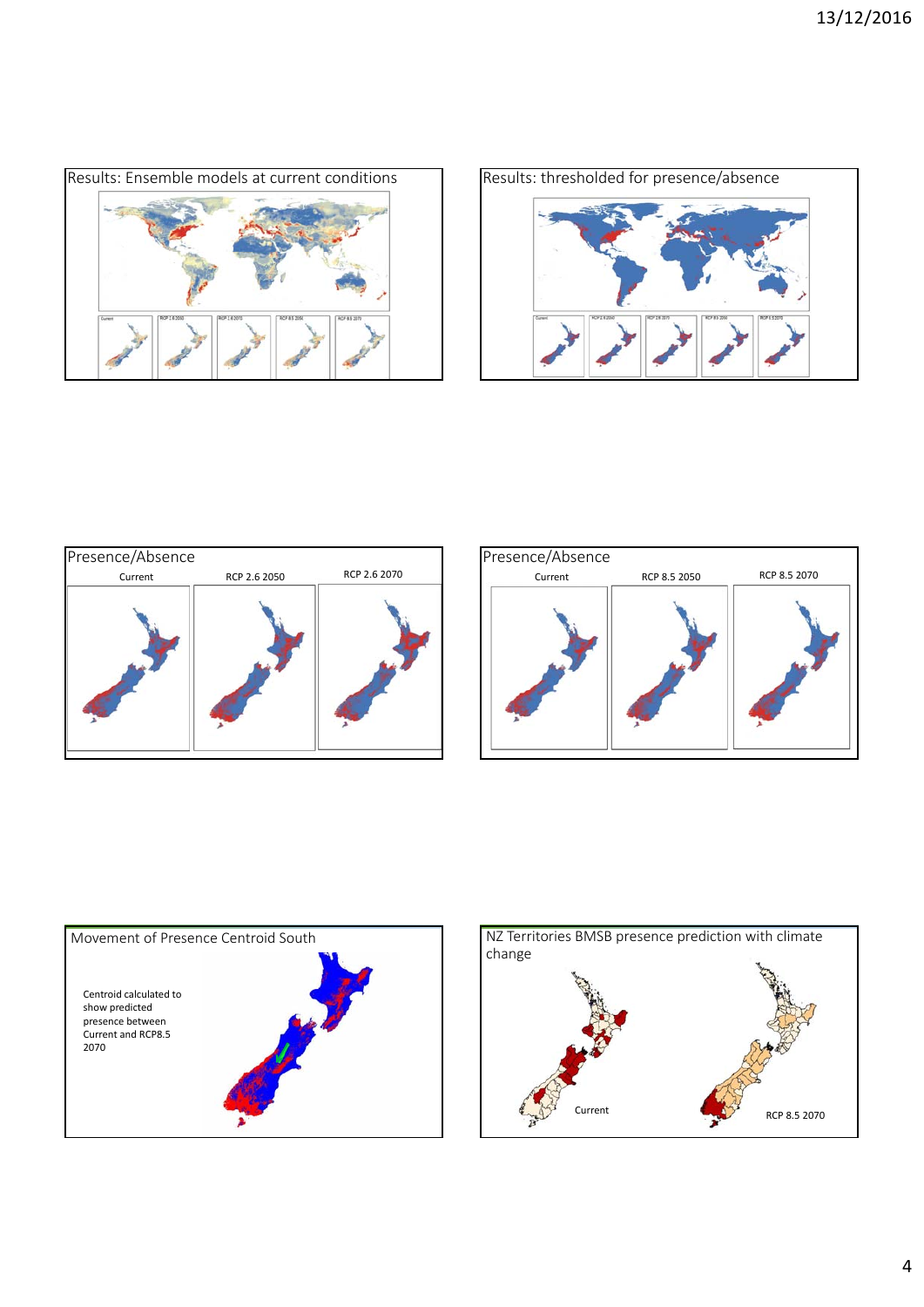